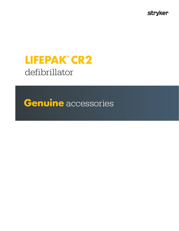**stryker** 

# **LIFEPAK® CR2**  defibrillator

**Genuine** accessories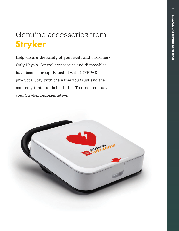$\equiv$ 

# Genuine accessories from **Stryker**

Help ensure the safety of your staff and customers. Only Physio-Control accessories and disposables have been thoroughly tested with LIFEPAK products. Stay with the name you trust and the company that stands behind it. To order, contact your Stryker representative.

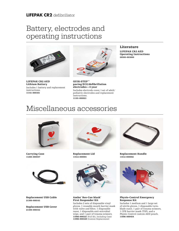#### **LIFEPAK CR2** defibrillator

### Battery, electrodes and operating instructions



LIFEPAK CR2 AED Lithium Battery Includes 1 battery and replacement instructions. 11141-000165



QUIK-STEP™ pacing/ECG/defibrillation electrodes—4 year Includes electrode cover, 1 set of adult/ pediatric electrodes and replacement instructions. 11101-000021

#### Literature

LIFEPAK CR2 AED Operating Instructions 26500-003800

### Miscellaneous accessories



Carrying Case 11260-000047



Replacement Lid 11512-000001





Replacement USB Cover 21300-008152



#### Ambu® Res-Cue Mask® First Responder Kit

Includes 2 sets of disposable vinyl gloves, 1 reusable mouth barrier mask with valve and filter, 1 disposable razor, 1 disposable anti-microbial wipe, and  $1$  pair of trauma scissors. 11998-000321 (Full Kit, Including Case) 11998-000320 (Content Replacement)



Replacement Handle 11512-000002



#### Physio-Control Emergency Response Kit

Includes 1 medium and 1 large set of nitrile gloves, 1 disposable twinblade razor, 1 pair of trauma scissors, 1 CPR barrier mask (TSP), and a Physio-Control custom AED pouch. 11996-000454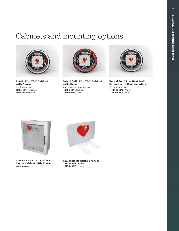### Cabinets and mounting options



Rotaid Plus Wall Cabinet with Alarm For indoor use. 11996-000441 (White) 11996-000443 (Red)



Rotaid Solid Plus Wall Cabinet with Alarm For indoor or outdoor use. 11996-000445 (White) 11996-000447 (Red)



Rotaid Solid Plus Heat Wall Cabinet with Heat and Alarm

For outdoor use. 11996-000449 (White) 11996-000451 (Red)



LIFEPAK CR2 AED Surface Mount Cabinet with Alarm 11220-000093



AED Wall Mounting Bracket 11210-000046 (white) 11210-000047 (green)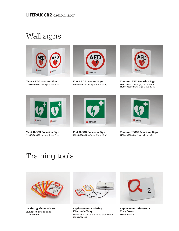## Wall signs



Tent AED Location Sign 11998-000332 (w/logo, 7 in x 8 in)



Flat AED Location Sign 11998-000330 (w/logo, 8 in x 10 in)



T-mount AED Location Sign 11998-000331 (w/logo, 8 in x 10 in) 11998-000333 (w/o logo, 8 in x 10 in)



Tent ILCOR Location Sign 11998-000329 (w/logo, 7 in x 8 in)



Flat ILCOR Location Sign 11998-000327 (w/logo, 8 in x 10 in)



T-mount ILCOR Location Sign 11998-000328 (w/logo, 8 in x 10 in

### Training tools



Training Electrode Set Includes 5 sets of pads. 11250-000140



Replacement Training Electrode Tray Includes 1 set of pads and tray cover. 11250-000145



Replacement Electrode Tray Cover 11250-000139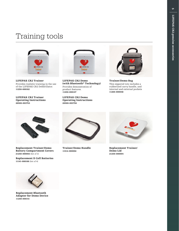### Training tools



LIFEPAK CR2 Trainer Provides realistic training in the use of the LIFEPAK CR2 Defibrillator. 11250-000162

LIFEPAK CR2 Trainer Operating Instructions 26500-003753



LIFEPAK CR2 Demo (with Bluetooth® Technology) Provides demonstration of product features. 11250-000147

LIFEPAK CR2 Demo Operating Instructions 26500-003756



Trainer/Demo Bag This zippered tote includes a rubberized carry handle, and internal and external pockets 11260-000048



Replacement Trainer/Demo Battery Compartment Covers 21250-000003 (Set of 3)

Replacement D Cell Batteries 11141-000166 (Set of 4)



Trainer/Demo Handle 11512-000002



Replacement Trainer/ Demo Lid 21250-000004



Replacement Bluetooth Adapter for Demo Device 11250-000141